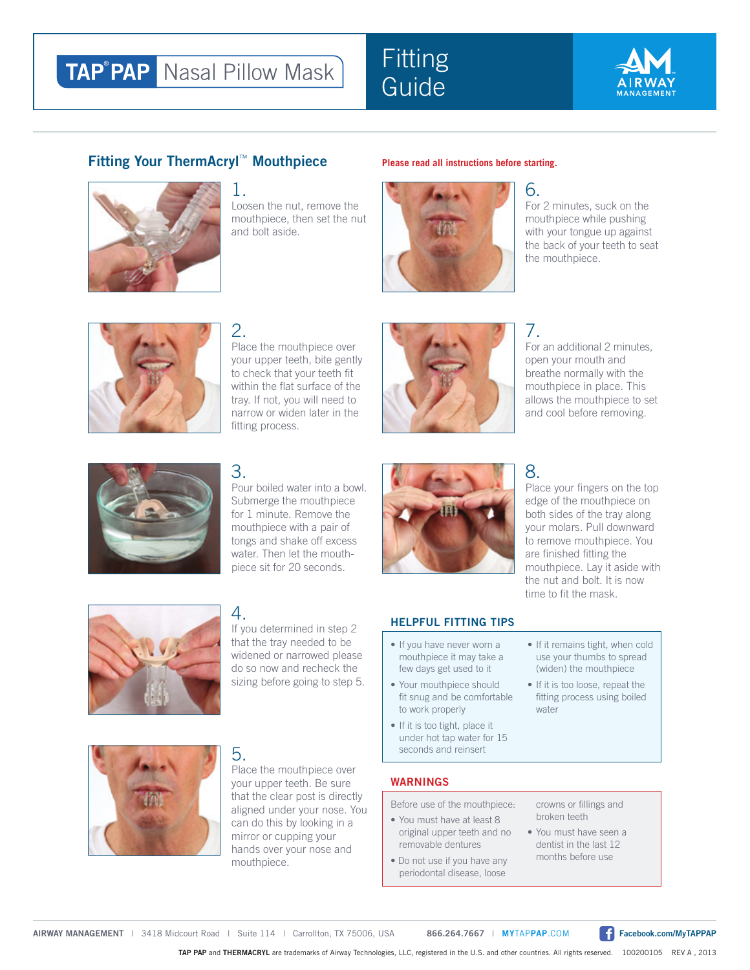# **TAP<sup>®</sup>PAP** Nasal Pillow Mask

# **Fitting Guide**



#### **Fitting Your ThermAcryl<sup>™</sup> Mouthpiece** Please read all instructions before starting.

1.



Loosen the nut, remove the mouthpiece, then set the nut and bolt aside.



# 6.

For 2 minutes, suck on the mouthpiece while pushing with your tongue up against the back of your teeth to seat the mouthpiece.



#### 2. Place the mouthpiece over your upper teeth, bite gently to check that your teeth fit within the flat surface of the tray. If not, you will need to narrow or widen later in the fitting process.



#### 7. For an additional 2 minutes, open your mouth and breathe normally with the mouthpiece in place. This allows the mouthpiece to set and cool before removing.



## 3.

Pour boiled water into a bowl. Submerge the mouthpiece for 1 minute. Remove the mouthpiece with a pair of tongs and shake off excess water. Then let the mouthpiece sit for 20 seconds.



# 8.

Place your fingers on the top edge of the mouthpiece on both sides of the tray along your molars. Pull downward to remove mouthpiece. You are finished fitting the mouthpiece. Lay it aside with the nut and bolt. It is now time to fit the mask.



# 4.

If you determined in step 2 that the tray needed to be widened or narrowed please do so now and recheck the sizing before going to step 5.



#### **HELPFUL FITTING TIPS**

- If you have never worn a mouthpiece it may take a few days get used to it
- Your mouthpiece should fit snug and be comfortable to work properly
- If it is too tight, place it under hot tap water for 15 seconds and reinsert
- If it remains tight, when cold use your thumbs to spread (widen) the mouthpiece
- If it is too loose, repeat the fitting process using boiled water



### 5.

Place the mouthpiece over your upper teeth. Be sure that the clear post is directly aligned under your nose. You can do this by looking in a mirror or cupping your hands over your nose and mouthpiece.

#### **WARNINGS**

Before use of the mouthpiece:

- You must have at least 8 original upper teeth and no removable dentures
- Do not use if you have any periodontal disease, loose

crowns or fillings and broken teeth

• You must have seen a dentist in the last 12 months before use

**AIRWAY MANAGEMENT** | 3418 Midcourt Road | Suite 114 | Carrollton, TX 75006, USA **866.264.7667** | **MY**TAP**PAP**.COM **Facebook.com/MyTAPPAP**